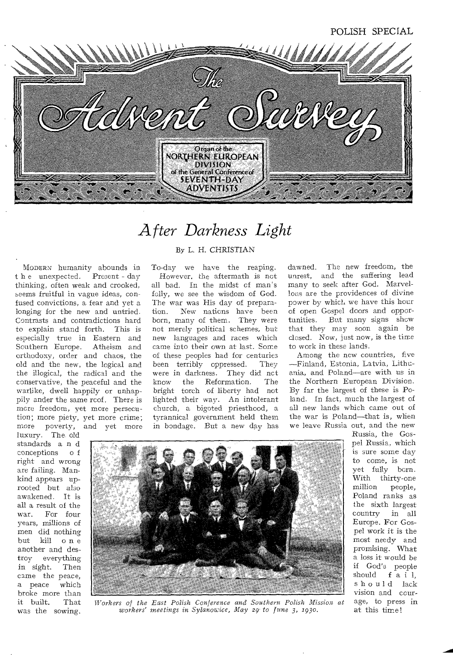

# *After Darkness Light*

**MODERN** humanity abounds in t h e unexpected. Present - day thinking, often weak and crooked, seems fruitful in vague ideas, confused convictions, a fear and yet a longing for the new and untried. Contrasts and contradictions hard to explain stand forth. This is especially true in Eastern and Southern Europe. Atheism and orthodoxy, order and chaos, the old and the new, the logical and the illogical, the radical and the conservative, the peaceful and the warlike, dwell happily or unhappily ender the same rcof. There is more freedom, yet more persecution; more piety, yet more crime; more poverty, and yet more

luxury. The. old standards a n d conceptions o f right and wrong are failing. Mankind appears uprooted but also awakened. It is all a result of the war. For four years, millions of men did nothing but kill o n e another and destroy everything in sight. Then came the peace,<br>a peace which a peace broke more than<br>it built. That it built. was the sowing.

#### **By L.** *H.* **CHRISTIAN**

To-day we have the reaping. However, the aftermath is not all bad. In the midst cf man's folly, we see the wisdom of God. The war was His day of preparation. New nations have been born, many of them. They were not merely political schemes, but *new* languages and races which came into their own at last. Some of these peoples had for centuries<br>been terribly oppressed. They been terribly oppressed. were in darkness. They did nct<br>know the Reformation. The Reformation. bright torch of liberty had not lighted their way. An intolerant church, a bigoted priesthood, a tyrannical government held them in bondage. But a new day has dawned. The new freedom, the unrest, and the suffering lead many to seek after God. Marvellous are the providences of divine power by which we have this hour of open Gospel doors and opportunities. But many signs show that they may soon again be closed. Now, just now, is the time to work in these lands.

Among the new countries, five —Finland, Estonia, Latvia, Lithuania, and Poland—are with us in the Northern European Division. By far the largest of these is Poland. In fact, much the largest of all new lands which came out of the war is Poland—that is, when we leave Russia out, and the new



*Workers of the East Polish Conference and Southern Polish Mission at workers' meetings in Sylanowice, May 29\* to June 3, 193o.* 

Russia, the Gospel Russia, which is sure some day to come, is not yet fully born. With thirty-one<br>million people. people, Poland *ranks as*  **the** sixth largest country in all Europe. For Gospel work it is the most needy and promising. What a loss it would be if God's people should f a i 1. should lack vision and courage, to press in at this time!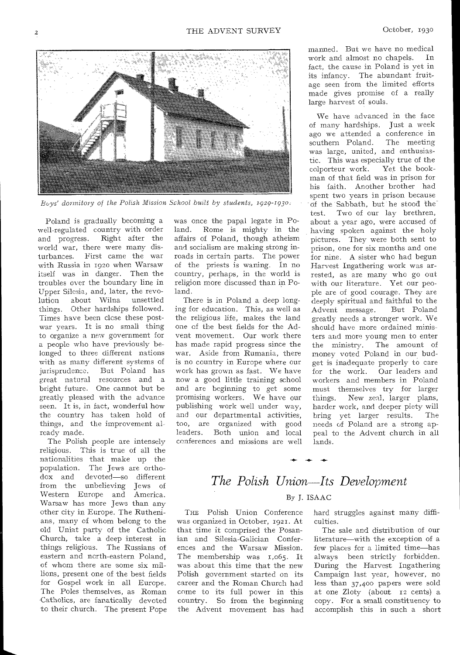

*Buys' dormitory of the Polish Mission School \_built by students, 1929-193o.* 

Poland is gradually becoming a well-regulated country with order and progress. Right after the world war, there were many dis-<br>turbances. First came the war First came the war with Russia in **192o when** Warsaw itself was in danger. Then the troubles **over** the boundary line in Upper **Silesia, and,** later, the revolution **about** Wilna unsettled things. **Other** hardships **followed. Times have** been close these **postwar years. It is no** small thing **to organize a new** government **for a people who have** previously **belonged to three** different nations with **as many** different systems **of jurisprudence.** But **Poland has great natural** resources and **a bright future.** One **cannot but be greatly pleased** with the advance **seen. It is, in fact,** wonderful how **the country has** taken hold of **things, and the** improvement already made.

The Polish people are intensely religious. This is true of all the nationalities that make up the population. The Jews are orthodox and devoted—so different from the unbelieving Jews of Western Europe and America. Warsaw has more Jews than any other city in Europe. The Ruthenians, many of whom belong to the old Uniat **party** of the Catholic Church, **take** a deep interest in things religious. The Russians of eastern and north-eastern Poland, of whom there are some six millions, present one of the best fields for Gospel work in all Europe. The Poles themselves, as Roman Catholics, are fanatically devoted to their church. The present Pope

was once the papal legate in Poland. Rome is mighty in the affairs of Poland, though atheism and socialism are making strong inroads **in certain** parts. The power of the priests is waning. In no country, perhaps, in the world is religion more discussed than in Poland.

There is in Poland a **deep** longing **for** education. This, **as** well as the religious **life,** makes the land one of **the best** fields for the Advent **movement.** Our work there **has made rapid** progress since the **war.** Aside from Rumania, there is no country **in** Europe where our **work has** grown as fast. We have **now a good** little training school and **are** beginning to **get** some promising workers. We **have our**  publishing work well under way, and our departmental activities, **too,** are organized with good **leaders.** Both union and local **conferences** and missions are well manned. But we have no medical work and almost no chapels. In **fact, the cause** in Poland is vet in **its infancy.** The abundant fruitage **seen from** the limited efforts **made gives** promise of a really large **harvest of souls.** 

**We have advanced in the face**  of **many hardships.** Just **a week**  ago **we** attended a conference **in southern** Poland. The meeting was large, united, and enthusiastic. This was especially true of the colporteur work. Yet the bookman of that field was in prison for his faith. Another brother had spent two years in prison because of the Sabbath, but he stood thetest. **Two** of our lay brethren, about **a year ago,** were accused of **having spoken against** the holy **pictures. They were** both sent to prison, one for **six** months and one for nine. A **sister** who had begun Harvest Ingathering work was arrested, as **are many** who go out with our **literature.** Yet our people **are** of good courage. They **are deeply spiritual** and faithful to the **Advent message.** But Poland greatly **needs a stronger** work. We should have **more** ordained ministers and **more** young men to enter the **ministry.** The amount of money voted Poland in our budget **is inadequate** properly **to** care **for the work.** Oar leaders and workers **and** members in Poland **must themselves** try for larger things. **New zeal,** larger plans, harder **work, and** deeper piety will bring **yet larger** results. The **needs** of Poland **are** a strong appeal to the Advent church **in** all lands.

## *The Polish Union Its Development*  By J. ISAAC

**-0- -O.- -4,** 

THE Polish Union Conference was organized in October, 1921. At that time it comprised the Posanian and Silesia-Galician Conferences and the Warsaw Mission. The membership was 1,065. It was about this time that the new Polish government started on its career and the Roman Church had come to its full power in this country. So from the beginning the Advent movement has had hard **struggles** against many difficulties.

The sale and distribution of our literature—with the exception of a few places for a limited time—has always been strictly forbidden. During the Harvest Ingathering Campaign last year, however, no less than 37,400 papers were sold at one Zloty (about 12 cents) a copy. For a small constituency to accomplish this in such a short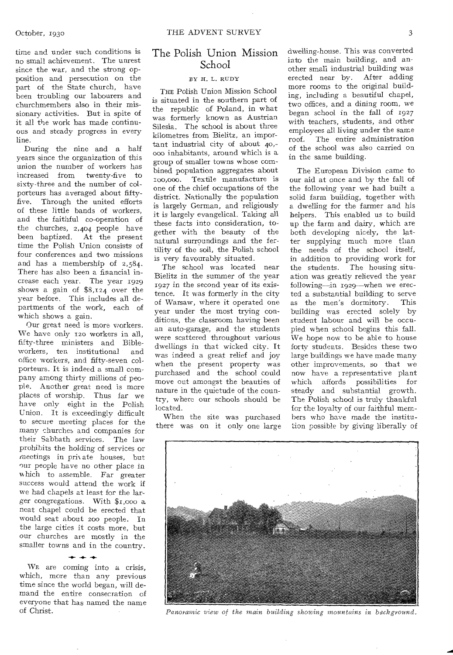time and under such conditions is no small achievement. The unrest since the war, and the strong opposition and persecution on the part of the State church, have been troubling our labourers and churchmembers also in their missionary activities. But in spite of it all the work has made continuous and steady progress in every line.

During the nine and a half years since the organization of this union the number of workers has increased from twenty-five to sixty-three and the number of colporteurs has averaged about fiftyfive. Through the united efforts of these little bands of workers, and the faithful co-operation of the churches, 2,404 people have been baptized. At the present time the Polish Union consists of four conferences and two missions and has a membership of 2,584. There has also been a financial increase each year. The year 1929 shows a gain of \$8,124 over the year before. This includes all departments of the work, each of which shows a gain.

Our great need is more workers. We have only 12o workers in all, fifty-three ministers and Bibleworkers, ten institutional and office workers, and fifty-seven colporteurs. It is indeed a small company among thirty millions of people. Another great need is more places of worship. Thus far we have only eight in the Polish Union. It is exceedingly difficult to secure meeting places for the many churches and companies for their Sabbath services. The law prohibits the holding of services or meetings in private houses, but our people have no other place in which to assemble. Far greater success would attend the work if we had chapels at least for the larger congregations. With \$1,000 neat chapel could be erected that would seat about zoo people. In the large cities it costs more, but our churches are mostly in the smaller towns and in the country.

 $+ +$ WE are coming into a crisis, which, more than any previous time since the world began, will demand the entire consecration of everyone that has named the name of Christ.

### The Polish Union Mission School

#### BY H. L. RUDY

THE Polish Union Mission School is situated in the southern part of the republic of Poland, in what was formerly known as Austrian Silesia. The school is about three kilometres from Bielitz, an important industrial city of about 40,- 000 inhabitants, around which is a group of smaller towns whose combined population aggregates about ioo,000. Textile manufacture is one of the chief occupations of the district. Nationally the population is largely German, and religiously it is largely evangelical. Taking all these facts into consideration, together with the beauty of the natural surroundings and the fertility of the soil, the Polish school is very favourably situated.

The school was located near Bielitz in the summer of the year 1927 in the second year of its existence. It was formerly in the city of Warsaw, where it operated one year under the most trying conditions, the classroom having been an auto-garage, and the students were scattered throughout various dwellings in that wicked city. It was indeed a great relief and joy when the present property was purchased and the school could move out amongst the beauties of nature in the quietude of the country, where our schools should be located.

When the site was purchased there was on it only one large dwelling-house. This was converted into the main building, and another small industrial building was erected near by. After adding more rooms to the original building, including a beautiful chapel, two offices, and a dining room, we began school in the fall of 1927 with teachers, students, and other employees all living under the same roof. The entire administration of the school was also carried on in the same building.

The European Division came to our aid at once and by the fall of the following year we had built a solid farm building, together with a dwelling for the farmer and his helpers. This enabled us to build up the farm and dairy, which are both developing nicely, the latter supplying much more than the needs of the school itself, in addition to providing work for the students. The housing situation was greatly relieved the year following—in 1929—when we erected a substantial building to serve<br>as the men's dormitory. This as the men's dormitory. building was erected solely by student labour and will be occupied when school begins this fall. We hope now to be able to house forty students. Besides these two large buildings we have made many other improvements, so that we now have a representative plant which affords possibilities for steady and substantial growth. The Polish school is truly thankful for the loyalty of our faithful members who have made the institution possible by giving liberally of

*Panoramic view of the main building showing mountains in background.*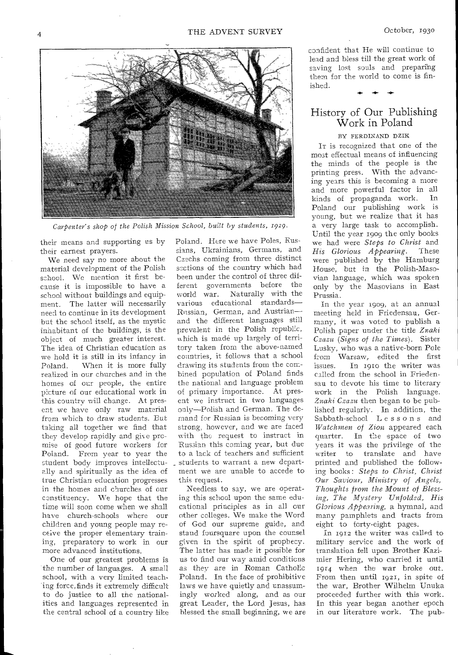

*Carpenter's shop of the Polish Mission School, built by students, 1929.* 

their means and supporting us by their earnest prayers.

We need say no more about the material development of the Polish school. We mention it first because it is impossible to have a school without buildings and equipment. The latter will necessarily need to continue in its development but the school itself, as the mystic inhabitant of the buildings, is the object of much greater interest. The idea of Christian education as we hold it is still in its infancy in Poland. When it is more fully realized in our churches and in the homes of our people, the entire picture of our educational work in this country will change. At present we have only raw material from which to draw students. But taking all together we find that they develop rapidly and give promise of good future workers for Poland. From year to year the student body improves intellectually and spiritually as the idea of true Christian education progresses in the homes and churches of our constituency. We hope that the time will soon come when we shall have church-schools where our children and young people may receive the proper elementary training, preparatory to work in our more advanced institutions.

One of our greatest problems is the number of languages. A small school, with a very limited teaching force, finds it extremely difficult to do justice to all the nationalities and languages represented in the central school of a country like Poland. Here we have Poles, Russians, Ukrainians, Germans, and Czechs coming from three distinct ssctions of the country which had been under the control of three different governments before the world war. Naturally with the various educational standards— Russian, German, and Austrian and the different languages still prevalent in the Polish republic, hich is made up largely of territory taken from the above-named countries, it follows that a school drawing its students from the combined population of Poland finds the national and language problem of primary importance. At present we instruct in two languages only—Polish and German. The demand for Russian is becoming very strong, however, and we are faced with the request to instruct in Russian this coming year, but due to a lack of teachers and sufficient students to warrant a new department we are unable to accede to this request.

Needless to say, we are operating this school upon the same educational principles as in all our other colleges. We make the Word of God our supreme guide, and stand foursquare upon the counsel given in the spirit of prophecy. The latter has made it possible for us to find our way amid conditions as they are in Roman Catholic Poland. In the face of prohibitive laws we have quietly and unassumingly worked along, and as our great Leader, the Lord Jesus, has blessed the small beginning, we are

confident that He will continue to lead and bless till the great work of saving lost souls and preparing them for the world to come is finished.

History of Our Publishing Work in Poland

#### BY FERDINAND DZIK

IT is recognized that one of the most effectual means of influencing the minds of the people is the printing press. With the advancing years this is becoming a more and more powerful factor in all<br>kinds of propaganda work. In kinds of propaganda work. Poland our publishing work is young, but we realize that it has a very large task to accomplish. Until the year 1909 the only books we had were *Steps to Christ* and *His Glorious Appearing.* were published by the Hamburg House, but in the Polish-Masovian language, which was spoken only by the Masovians in East Prussia.

In the year 1909, at an annual meeting held in Friedensau, Germany, it was voted to publish a Polish paper under the title *Znaki Czazu (Signs of the Times).* Sister Lusky, who was a native-born Pole from Warsaw, edited the first In 1910 the writer was called from the school in Friedensau to devote his time to literary work in the Polish language. *Znaki Czazu* then began to be published regularly. In addition, the Sabbath-school Lessons and *Watchmen of Zion* appeared each quarter. In the space of two years it was the privilege of the writer to translate and have printed and published the following books : *Steps to Christ, Christ Our Saviour, Ministry of Angels, Thoughts from the Mount of Blessing, The Mystery Unfolded, His Glorious Appearing,* a hymnal, and many pamphlets and tracts from eight to forty-eight pages.

In 1912 the writer was called to military service and the work of translation fell upon Brother Kazimier Hering, who carried it until 1914 when the war broke out. From then until 1921, in spite of the war, Brother Wilhelm Unuka proceeded further with this work. In this year began another epoch in our literature work. The pub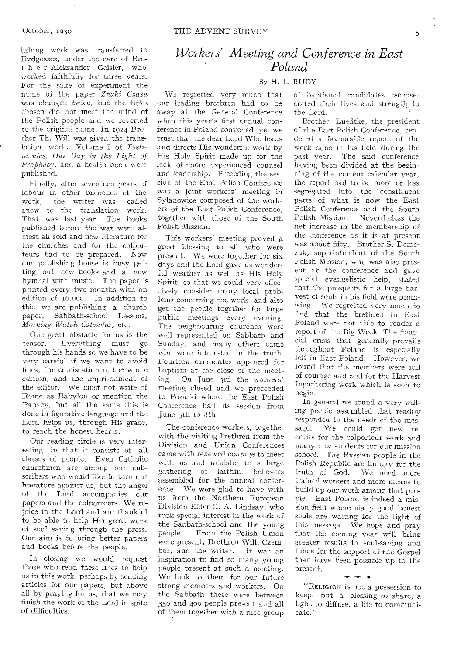lishing work was transferred to Bydgoszcz, under the care of Brot h e r Aleksander Geisler, who worked faithfully for three years. For the sake of experiment the name of the paper *Znaki Czazu*  was changed twice, but the titles chosen did not meet the mind of the Polish people and we reverted to the original name. In 1924 Brother Th. Will was given the translation work. Volume I of *Testimonies, Our Day in the Light of Prophecy,* and a health book were published.

Finally; after seventeen years of labour in other branches of the<br>work, the writer was called the writer was anew to the translation work. That was last year. The books published before the war were almost all sold and new literature for the churches and for the colporteurs had to be prepared. Now our publishing, house is busy getting out new books and a new hymnal with music. The paper is printed every two months with an edition of r6,occ. In addition to this we are publishing a church paper, Sabbath-school Lessons, *Morning Watch Calendar,* etc.

One great obstacle for us is the<br>censor. Everything must go Everything must go through his hands so we have to be very careful if we want to avoid fines, the confiscation of the whole edition, and the imprisonment of the editor. We must not write of Rome as Babylon or mention the Papacy, but all the same this is done in figurative language and the Lord helps us, through His grace, to reach the honest hearts.

Our reading circle is very interesting in that it consists of all classes of people. Even Catholic churchmen are among our subscribers who would like to turn our literature against us, but the angel of the Lord accompanies our papers and the colporteurs. We rejoice in the Lord and are thankful to be able to help His great work of soul saving through the press. Our aim is to bring better papers and books before the people.

In closing we would request those who read these lines to help us in this work, perhaps by sending articles for our papers, but above all by praying for us, that we may finish the work of the Lord in spite of difficulties.

## *Workers' Meeting and Conference in East Poland*

### By H. L. RUDY

WE regretted very much that cur leading brethren had to be away at the General Conference when this year's first annual conference in Poland convened, yet we trust that the dear Lord Who leads and directs His wonderful work by His Holy Spirit made up for the lack of more experienced counsel and leadership. Preceding the session of the East Polish Conference was a joint workers' meeting in Sylanowice composed of the workers of the East Polish Conference, together with those of the South Polish Mission.

This workers' meeting proved a great blessing to all who were present. We were together for six days and the Lord gave us wonderful weather as well as His Holy Spirit, so that we could very effectively consider many local problems concerning the work, and also get the people together for large public meetings every evening. The neighbouring churches were well represented on Sabbath and Sunday, and many others came who were interested in the truth. Fourteen candidates appeared for baptism at the close of the meeting. On June 3rd the workers' meeting closed and we proceeded to Pozarki where the East Polish Conference had its session from June 5th to 8th.

The conference workers, together with the visiting brethren from the Division and Union Conferences came with renewed courage to meet with us and minister to a large gathering of faithful believers assembled for the annual conference. We were glad to have with us from the Northern European Division Elder G. A. Lindsay, who took special interest in the work of the Sabbath-school and the young people. From the Polish Union were present, Brethren Will, Czembor, and the writer. It was an inspiration to find so many young people present at such a meeting. We look to them for our future strong members and workers. On the Sabbath there were between 350 and 400 people present and all of them together with a nice group

of baptismal candidates reconsecrated their lives and strength to the Lord.

Brother Luedtke, the president of the East Polish Conference, rendered a favourable report of the work done in his field during the past year. The said conference having been divided at the beginning of the current calendar year, the report had to be more or less segregated into the 'constituent parts of what is now the East Polish Conference and the South Polish Mission. Nevertheless the net increase in the membership of the conference as it is at present was about fifty. Brother S. Demczuk, superintendent of the South Polish Mission, who was also present at the conference and gave special evangelistic help, stated that the prospects for a large harvest of souls in his field were promising. We regretted very much to find that the brethren in East Poland were not able to render a report of the Big Week. The financial crisis that generally prevails throughout Poland is especially felt in East Poland. However, we found that the members were full of courage and zeal for the Harvest Ingathering work which is soon to begin.

In general we found a very willing people assembled that readily responded to the needs of the message. We could get new recruits for the colporteur work and many new students for oar mission school. The *Russian* people in the Polish Republic are hungry for the truth of God. We need more trained workers and more means to build up our work among that people. East Poland is indeed a mission field where many good honest souls are waiting for the light of this message. We hope and pray that the coming year will bring greater results in soul-saving and funds for the support of the Gospel than have been possible up to the present.

"RELIGION is not a possession to keep, but a blessing to share, a light to diffuse, a life to communicate."

**-4- -4- -4-**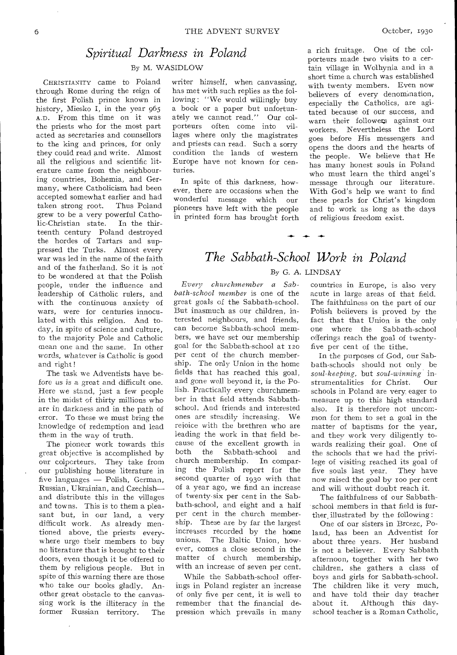## *Spiritual Darkness in Poland*  **By M. WASIDLOW**

CHRISTIANITY came to Poland through Rome during the reign of the first Polish prince known in history, Miesko I, in the year 965 A.D. From this time on it was the priests who for the most part acted as secretaries and counsellors to the king and princes, for only they could read and write. Almost all the religious and scientific literature came from the neighbouring countries, Bohemia, and Germany, where Catholicism had been accepted somewhat earlier and had taken strong root. Thus Poland grew to be a very powerful Catholic-Christian state. In the thirteenth century Poland destroyed the hordes of Tartars and suppressed the Turks. Almost every war was led in the name of the faith. and of the fatherland. So it is not to be wondered at that the Polish people, under the influence and leadership of Catholic rulers, and with the continuous anxiety of wars, were for centuries innocu**lated** with this religion. And today, **in** spite of science and culture, **to the majority** Pole and Catholic **mean one and** the same. In other **words, whatever** is Catholic is good and **right!** 

**The task we Adventists** have before **us is a great** and difficult one. Here **we stand,** just a few people in the **midst of** thirty millions who are in **darkness and** in the path of **error. To these we** must bring the knowledge of redemption and lead them in the **way** of **truth.** 

The pioneer work towards this great objective is accomplished by our colperteurs. They take from our publishing house literature in five languages — Polish, German, Russian, Ukrainian, and Czechish and distribute this in the villages and towns. This is to them a pleasant but, in our land, a very difficult work. As already mentioned above, the priests everywhere urge their members to buy no literature that is brought to their doors, even though it be offered to them by religious people. But in spite of this warning there are those who take our books gladly. Another great obstacle to the canvassing work is the illiteracy in the former Russian territory. The

writer himself, when canvassing, has met with such replies as the following : "We would willingly buy a book or a paper but unfortunately we cannot read." Our colporteurs often come into villages where only the magistrates and priests can read. Such a sorry condition the lands of western Europe have not known for centuries.

In spite of this darkness, however, there are occasions when the wonderful message which our pioneers have left with the people in printed form has brought forth a rich fruitage. One of the colporteurs made two visits to a certain village in Wolhynia and in a short time a church was established with twenty members. Even now believers of every denomination, especially the Catholics, are agitated because of our success, and warn their followers against our workers. Nevertheless the **Lord**  goes before His messengers and opens the doors and the hearts of the people. We believe that He has many honest souls in Poland who must learn the third angel's message through our literature. With God's help we want to find these pearls for Christ's kingdom and to work as long as the days of religious freedom exist.

## **By** G. A. LINDSAY *The Sabbath-School Work in Poland*

 $+ + +$ 

*Every churchmember a Sabbath-school member is* one of the **great goals of the** Sabbath-school. But inasmuch as our children, interested neighbours, and friends, **can become** Sabbath-school members, **we have set** our membership goal for **the** Sabbath-school at 12o per **cent of the** church membership. **The only** Union in the home fields **that has** reached this goal, and gone **well beyond it,** is the Polish. Practically every churchmember in that field attends Sabbathschool. And friends and interested ones **are** steadily increasing. We **rejoice** with the brethren who are **leading** the work in that field because of the excellent growth in both the Sabbath-school and church membership. In comparing the Polish report for the second quarter of 193o with that of a year **ago, we find** an increase of twenty-six per cent in the Sabbath-school, and eight and a half per cent in the church membership. These are by far the largest increases recorded by the home unions. The Baltic Union, however, comes a close second in the matter of church membership, with an increase of seven per cent.

While the Sabbath-school offerings in Poland register an increase of only five per cent, it is well to remember that the financial depression which prevails in many

countries in Europe, is also very acute in large areas of that field. The **faithfulness on** the part of our Polish believers is proved by the fact that that Union is the only one where the Sabbath-school offerings reach the goal of twentyfive per **cent** of the tithe.

In the purposes of God, our Sabbath-schools **should not only** be *soul-keeping,* **but** *soul-winning* instrumentalities for **Christ. Our schools** in Poland are very, eager to measure up to this high standard also. It is therefore not uncommon for them to **set a** goal in the matter **of baptisms** for the year, and **they work** very diligently towards realizing their goal. One of the schools that we had the privilege of visiting reached its goal of five souls last year. They have now raised the goal by too per cent and **will** without doubt reach it.

The faithfulness of our Sabbathschool members in that field is further illustrated by the following :

One of our sisters in Brcezc, Poland, has been an Adventist for about three years. Her husband is not a believer. Every Sabbath afternoon, together with her two children, she gathers a class of boys and girls for Sabbath-school. The children like **it** very much, and have told their day teacher<br>about it. Although this day-Although this dayschool teacher is a Roman Catholic,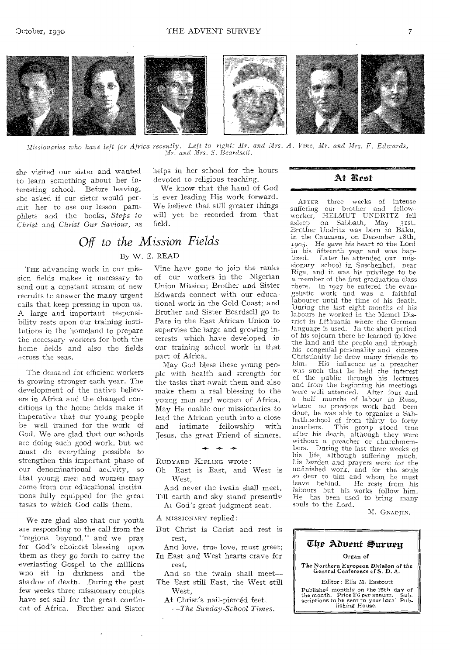

*Missionaries who have left for Africa recently. Left to right: Mr. and Mrs. A. Vine, Mr. and Mrs. F. Edwards,*  Mr. *and Mrs. S. Beardsell.* 

she visited our sister and wanted to learn something about her interesting school. Before leaving, she asked if oar sister would permit her to use our lesson pamphlets and the books, *Steps to Christ* and *Christ Our Saviour,* as

THE advancing work in our mission fields makes it necessary to send out a constant stream of new recruits to answer the many urgent calls that keep pressing in upon us. *A* large and important responsibility rests upon our training institutions in the homeland to prepare the necessary workers for both the home fields and also the fields ,cross the seas.

The demand for efficient workers is growing stronger each year. The de'velopment of the native believers in Africa and the changed conditions in the home fields make it imperative that our young people be well trained for the work of God. We are glad that our schools are doing such good work, but we must do everything possible to strengthen this important phase of our denominational activity, so that young *men* and women may come from our educational institutions fully equipped for the great *tasks* to which God calls them.

We are glad also that our youth are responding to the call from the "regions beyond," and we pray for God's choicest blessing upon them as they *go* forth to carry the everlasting Gospel to the millions wno sit in darkness and the shadow of death. During the past few weeks three missionary couples have set sail for the great continent of Africa. Brother and Sister

helps in her school for the hours devoted to religious teaching.

We know that the hand of God is ever leading His work forward. We believe that still greater things will yet be recorded from that field.

## *Off to the Mission Fields*  By W. E. READ

Vine have gone to join the ranks of our workers in the Nigerian Union Mission; Brother and Sister Edwards connect with our educational work in the Gold Coast; and Brother and Sister Beardsell go to Pare in the East African Union to supervise the large and growing interests which have developed in our training school work in that part of Africa.

May God bless these young people with health and strength for the tasks that await them and also make them a real blessing to the *young* men and women of Africa. May He enable our missionaries to lead the African youth into a close and intimate fellowship with Jesus, the great Friend of sinners.

RIIDYARD KIPLING wrote :

Oh East is East, and West is West,

 $\rightarrow$   $\rightarrow$   $\rightarrow$ 

And never the twain shall meet, Till earth and sky stand presently At God's great judgment seat.

A MISSIONARY replied :

- But Christ is Christ and rest is rest,
- And love, true love, must greet; In East and West hearts crave for rest,
- And so the twain shall meet— The East still East, the West still West,
	- At Christ's nail-piercéd feet.
	- *—The Sunday-School Times.*

### At Rest

AFTER three weeks of intense suffering our brother and fellowsuffering our brother and fellow-<br>worker, HELMUT UNDRITZ fell<br>asleep on Sabbath, May 31st. on Sabbath, May Brother Undritz was born in Baku, in the Caucasus, on December r8th, 1905. He gave his heart to the Lord in his fifteenth year and was baptized. Later he attended our mis-sionary school in Suschenhof, near Riga, and it was his privilege to be a member of the first graduation class there. In 1927 he entered the evangelistic work and was a faithful labourer until the time of his death. During the last eight months of his labours he worked in the Memel District in Lithuania where the German language is used. In the short period of his sojourn there he learned to love the land and the people and through his congenial personality and sincere Christianity he drew many friends to<br>him. His influence as a preacher him. His influence as a preacher was such that he held the interest of the public through his lectures and from the beginning his meetings were well attended. After four and a half months of labour in Russ, where no previous work had been done, he was able to organize a Sabbath-school of from thirty to forty members. This group stood true after his death, although they were without a preacher or churchmembers. During the last three weeks of his life, although suffering much, his burden and prayers were for the unfinished work, and for the souls so dear to him and whom he must leave behind. He rests from his labours but his works follow him. He has been used to bring many souls to the Lord.

M. GNADJIN.

### The Aduent Survey

#### Organ of

The Northern European Division of the General Conference of S. D. A.

Editor: Ella M. Eastcott Published monthly on the 25th day of the month. Price 2;6 per annum. Sub-scriptions to be sent to your local Pub-lishing House.